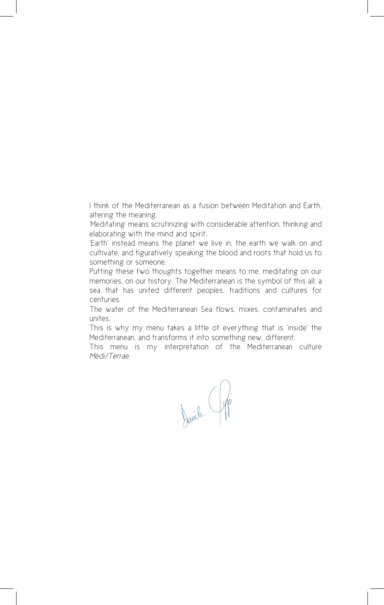I think of the Mediterranean as a fusion between Meditation and Earth, altering the meaning.

'Meditating' means scrutinizing with considerable attention, thinking and elaborating with the mind and spirit,

'Earth' instead means the planet we live in, the earth we walk on and cultivate, and figuratively speaking the blood and roots that hold us to something or someone.

Putting these two thoughts together means to me, meditating on our memories, on our history. The Mediterranean is the symbol of this all: a sea that has united different peoples, traditions and cultures for centuries.

The water of the Mediterranean Sea flows, mixes, contaminates and unites.

This is why my menu takes a little of everything that is 'inside' the Mediterranean, and transforms it into something new, different.

This menu is my interpretation of the Mediterranean culture *Mèdi/Terrae*.

Jericle Gypi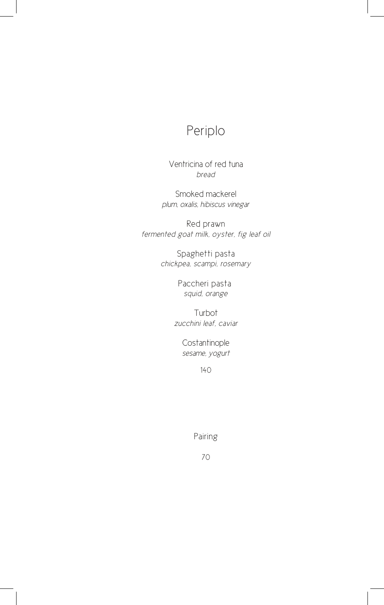Ventricina of red tuna *bread*

Smoked mackerel *plum, oxalis, hibiscus vinegar*

Red prawn *fermented goat milk, oyster, fig leaf oil*

> Spaghetti pasta *chickpea, scampi, rosemary*

> > Paccheri pasta *squid, orange*

Turbot *zucchini leaf, caviar*

> Costantinople *sesame, yogurt*

# Periplo

Pairing



140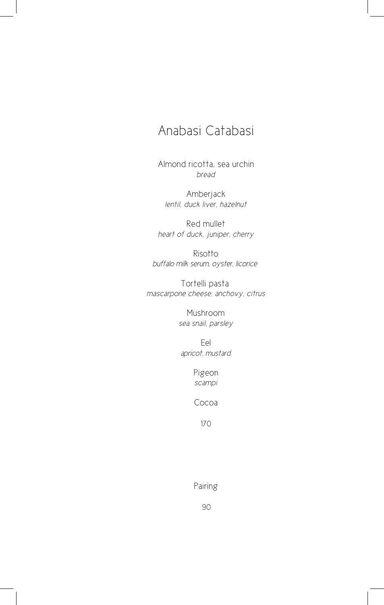Almond ricotta, sea urchin *bread*

Amberjack *lentil, duck liver, hazelnut*

Red mullet *heart of duck, juniper, cherry*

Risotto *buffalo milk serum, oyster, licorice* 

Tortelli pasta *mascarpone cheese, anchovy, citrus*

> Mushroom *sea snail, parsley*

Eel *apricot, mustard*

> Pigeon *scampi*

Cocoa

## Anabasi Catabasi

### Pairing

#### 90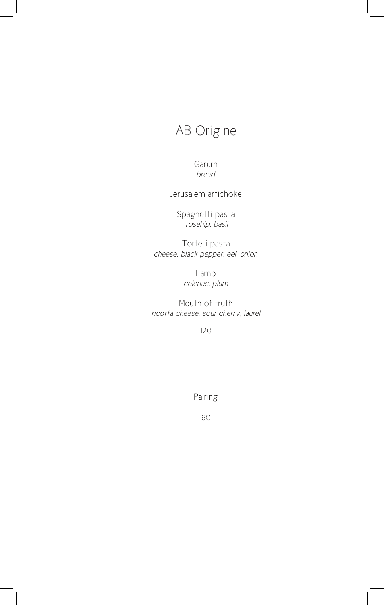# AB Origine

Garum *bread*

Spaghetti pasta  *rosehip, basil*

Jerusalem artichoke

Tortelli pasta *cheese, black pepper, eel, onion*

> Lamb *celeriac, plum*

Mouth of truth *ricotta cheese, sour cherry, laurel*

120

Pairing